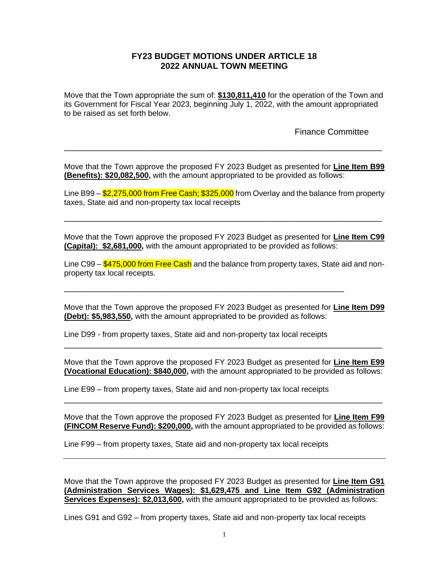## **FY23 BUDGET MOTIONS UNDER ARTICLE 18 2022 ANNUAL TOWN MEETING**

Move that the Town appropriate the sum of: **\$130,811,410** for the operation of the Town and its Government for Fiscal Year 2023, beginning July 1, 2022, with the amount appropriated to be raised as set forth below.

Finance Committee

Move that the Town approve the proposed FY 2023 Budget as presented for **Line Item B99 (Benefits): \$20,082,500,** with the amount appropriated to be provided as follows:

\_\_\_\_\_\_\_\_\_\_\_\_\_\_\_\_\_\_\_\_\_\_\_\_\_\_\_\_\_\_\_\_\_\_\_\_\_\_\_\_\_\_\_\_\_\_\_\_\_\_\_\_\_\_\_\_\_\_\_\_\_\_\_\_\_\_\_

Line B99 – \$2,275,000 from Free Cash: \$325,000 from Overlay and the balance from property taxes, State aid and non-property tax local receipts

\_\_\_\_\_\_\_\_\_\_\_\_\_\_\_\_\_\_\_\_\_\_\_\_\_\_\_\_\_\_\_\_\_\_\_\_\_\_\_\_\_\_\_\_\_\_\_\_\_\_\_\_\_\_\_\_\_\_\_\_\_\_\_\_\_\_\_

Move that the Town approve the proposed FY 2023 Budget as presented for **Line Item C99 (Capital): \$2,681,000,** with the amount appropriated to be provided as follows:

Line C99 –  $$475,000$  from Free Cash and the balance from property taxes, State aid and nonproperty tax local receipts.

Move that the Town approve the proposed FY 2023 Budget as presented for **Line Item D99 (Debt): \$5,983,550,** with the amount appropriated to be provided as follows:

Line D99 - from property taxes, State aid and non-property tax local receipts

\_\_\_\_\_\_\_\_\_\_\_\_\_\_\_\_\_\_\_\_\_\_\_\_\_\_\_\_\_\_\_\_\_\_\_\_\_\_\_\_\_\_\_\_\_\_\_\_\_\_\_\_\_\_\_\_\_\_\_

Move that the Town approve the proposed FY 2023 Budget as presented for **Line Item E99 (Vocational Education): \$840,000,** with the amount appropriated to be provided as follows:

\_\_\_\_\_\_\_\_\_\_\_\_\_\_\_\_\_\_\_\_\_\_\_\_\_\_\_\_\_\_\_\_\_\_\_\_\_\_\_\_\_\_\_\_\_\_\_\_\_\_\_\_\_\_\_\_\_\_\_\_\_\_\_\_\_\_\_

Line E99 – from property taxes, State aid and non-property tax local receipts

Move that the Town approve the proposed FY 2023 Budget as presented for **Line Item F99 (FINCOM Reserve Fund): \$200,000,** with the amount appropriated to be provided as follows:

\_\_\_\_\_\_\_\_\_\_\_\_\_\_\_\_\_\_\_\_\_\_\_\_\_\_\_\_\_\_\_\_\_\_\_\_\_\_\_\_\_\_\_\_\_\_\_\_\_\_\_\_\_\_\_\_\_\_\_\_\_\_\_\_\_\_\_

Line F99 – from property taxes, State aid and non-property tax local receipts

Move that the Town approve the proposed FY 2023 Budget as presented for **Line Item G91 (Administration Services Wages): \$1,629,475 and Line Item G92 (Administration Services Expenses): \$2,013,600,** with the amount appropriated to be provided as follows:

Lines G91 and G92 – from property taxes, State aid and non-property tax local receipts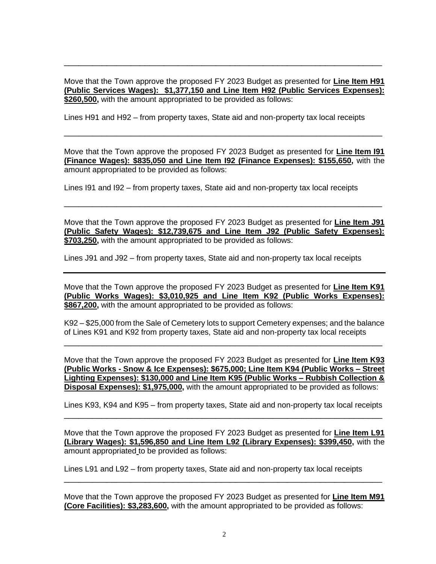Move that the Town approve the proposed FY 2023 Budget as presented for **Line Item H91 (Public Services Wages): \$1,377,150 and Line Item H92 (Public Services Expenses): \$260,500,** with the amount appropriated to be provided as follows:

\_\_\_\_\_\_\_\_\_\_\_\_\_\_\_\_\_\_\_\_\_\_\_\_\_\_\_\_\_\_\_\_\_\_\_\_\_\_\_\_\_\_\_\_\_\_\_\_\_\_\_\_\_\_\_\_\_\_\_\_\_\_\_\_\_\_\_

Lines H91 and H92 – from property taxes, State aid and non-property tax local receipts

Move that the Town approve the proposed FY 2023 Budget as presented for **Line Item I91 (Finance Wages): \$835,050 and Line Item I92 (Finance Expenses): \$155,650,** with the amount appropriated to be provided as follows:

\_\_\_\_\_\_\_\_\_\_\_\_\_\_\_\_\_\_\_\_\_\_\_\_\_\_\_\_\_\_\_\_\_\_\_\_\_\_\_\_\_\_\_\_\_\_\_\_\_\_\_\_\_\_\_\_\_\_\_\_\_\_\_\_\_\_\_

Lines I91 and I92 – from property taxes, State aid and non-property tax local receipts

Move that the Town approve the proposed FY 2023 Budget as presented for **Line Item J91 (Public Safety Wages): \$12,739,675 and Line Item J92 (Public Safety Expenses): \$703,250,** with the amount appropriated to be provided as follows:

\_\_\_\_\_\_\_\_\_\_\_\_\_\_\_\_\_\_\_\_\_\_\_\_\_\_\_\_\_\_\_\_\_\_\_\_\_\_\_\_\_\_\_\_\_\_\_\_\_\_\_\_\_\_\_\_\_\_\_\_\_\_\_\_\_\_\_

Lines J91 and J92 – from property taxes, State aid and non-property tax local receipts

Move that the Town approve the proposed FY 2023 Budget as presented for **Line Item K91 (Public Works Wages): \$3,010,925 and Line Item K92 (Public Works Expenses): \$867,200,** with the amount appropriated to be provided as follows:

K92 – \$25,000 from the Sale of Cemetery lots to support Cemetery expenses; and the balance of Lines K91 and K92 from property taxes, State aid and non-property tax local receipts

\_\_\_\_\_\_\_\_\_\_\_\_\_\_\_\_\_\_\_\_\_\_\_\_\_\_\_\_\_\_\_\_\_\_\_\_\_\_\_\_\_\_\_\_\_\_\_\_\_\_\_\_\_\_\_\_\_\_\_\_\_\_\_\_\_\_\_

Move that the Town approve the proposed FY 2023 Budget as presented for **Line Item K93 (Public Works - Snow & Ice Expenses): \$675,000; Line Item K94 (Public Works – Street Lighting Expenses): \$130,000 and Line Item K95 (Public Works – Rubbish Collection & Disposal Expenses): \$1,975,000,** with the amount appropriated to be provided as follows:

Lines K93, K94 and K95 – from property taxes, State aid and non-property tax local receipts \_\_\_\_\_\_\_\_\_\_\_\_\_\_\_\_\_\_\_\_\_\_\_\_\_\_\_\_\_\_\_\_\_\_\_\_\_\_\_\_\_\_\_\_\_\_\_\_\_\_\_\_\_\_\_\_\_\_\_\_\_\_\_\_\_\_\_

Move that the Town approve the proposed FY 2023 Budget as presented for **Line Item L91 (Library Wages): \$1,596,850 and Line Item L92 (Library Expenses): \$399,450,** with the amount appropriated to be provided as follows:

Lines L91 and L92 – from property taxes, State aid and non-property tax local receipts

Move that the Town approve the proposed FY 2023 Budget as presented for **Line Item M91 (Core Facilities): \$3,283,600,** with the amount appropriated to be provided as follows:

\_\_\_\_\_\_\_\_\_\_\_\_\_\_\_\_\_\_\_\_\_\_\_\_\_\_\_\_\_\_\_\_\_\_\_\_\_\_\_\_\_\_\_\_\_\_\_\_\_\_\_\_\_\_\_\_\_\_\_\_\_\_\_\_\_\_\_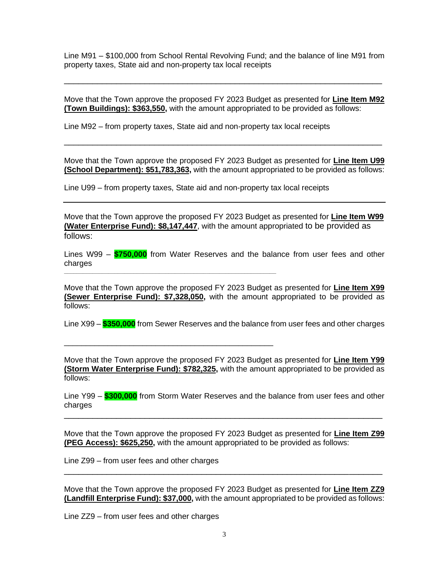Line M91 – \$100,000 from School Rental Revolving Fund; and the balance of line M91 from property taxes, State aid and non-property tax local receipts

\_\_\_\_\_\_\_\_\_\_\_\_\_\_\_\_\_\_\_\_\_\_\_\_\_\_\_\_\_\_\_\_\_\_\_\_\_\_\_\_\_\_\_\_\_\_\_\_\_\_\_\_\_\_\_\_\_\_\_\_\_\_\_\_\_\_\_

Move that the Town approve the proposed FY 2023 Budget as presented for **Line Item M92 (Town Buildings): \$363,550,** with the amount appropriated to be provided as follows:

Line M92 – from property taxes, State aid and non-property tax local receipts

Move that the Town approve the proposed FY 2023 Budget as presented for **Line Item U99 (School Department): \$51,783,363,** with the amount appropriated to be provided as follows:

\_\_\_\_\_\_\_\_\_\_\_\_\_\_\_\_\_\_\_\_\_\_\_\_\_\_\_\_\_\_\_\_\_\_\_\_\_\_\_\_\_\_\_\_\_\_\_\_\_\_\_\_\_\_\_\_\_\_\_\_\_\_\_\_\_\_\_

Line U99 – from property taxes, State aid and non-property tax local receipts

**\_\_\_\_\_\_\_\_\_\_\_\_\_\_\_\_\_\_\_\_\_\_\_\_\_\_\_\_\_\_\_\_\_\_\_\_\_\_\_\_\_\_\_\_\_\_\_\_\_\_\_\_\_\_\_\_\_\_\_\_\_\_\_\_\_\_\_**

\_\_\_\_\_\_\_\_\_\_\_\_\_\_\_\_\_\_\_\_\_\_\_\_\_\_\_\_\_\_\_\_\_\_\_\_\_\_\_\_\_\_\_\_\_\_\_\_

Move that the Town approve the proposed FY 2023 Budget as presented for **Line Item W99 (Water Enterprise Fund): \$8,147,447**, with the amount appropriated to be provided as follows:

Lines W99 – **\$750,000** from Water Reserves and the balance from user fees and other charges

Move that the Town approve the proposed FY 2023 Budget as presented for **Line Item X99 (Sewer Enterprise Fund): \$7,328,050,** with the amount appropriated to be provided as follows:

Line X99 – **\$350,000** from Sewer Reserves and the balance from user fees and other charges

Move that the Town approve the proposed FY 2023 Budget as presented for **Line Item Y99 (Storm Water Enterprise Fund): \$782,325,** with the amount appropriated to be provided as follows:

Line Y99 – **\$300,000** from Storm Water Reserves and the balance from user fees and other charges

\_\_\_\_\_\_\_\_\_\_\_\_\_\_\_\_\_\_\_\_\_\_\_\_\_\_\_\_\_\_\_\_\_\_\_\_\_\_\_\_\_\_\_\_\_\_\_\_\_\_\_\_\_\_\_\_\_\_\_\_\_\_\_\_\_\_\_

Move that the Town approve the proposed FY 2023 Budget as presented for **Line Item Z99 (PEG Access): \$625,250,** with the amount appropriated to be provided as follows:

Line Z99 – from user fees and other charges

Move that the Town approve the proposed FY 2023 Budget as presented for **Line Item ZZ9 (Landfill Enterprise Fund): \$37,000,** with the amount appropriated to be provided as follows:

\_\_\_\_\_\_\_\_\_\_\_\_\_\_\_\_\_\_\_\_\_\_\_\_\_\_\_\_\_\_\_\_\_\_\_\_\_\_\_\_\_\_\_\_\_\_\_\_\_\_\_\_\_\_\_\_\_\_\_\_\_\_\_\_\_\_\_

Line ZZ9 – from user fees and other charges